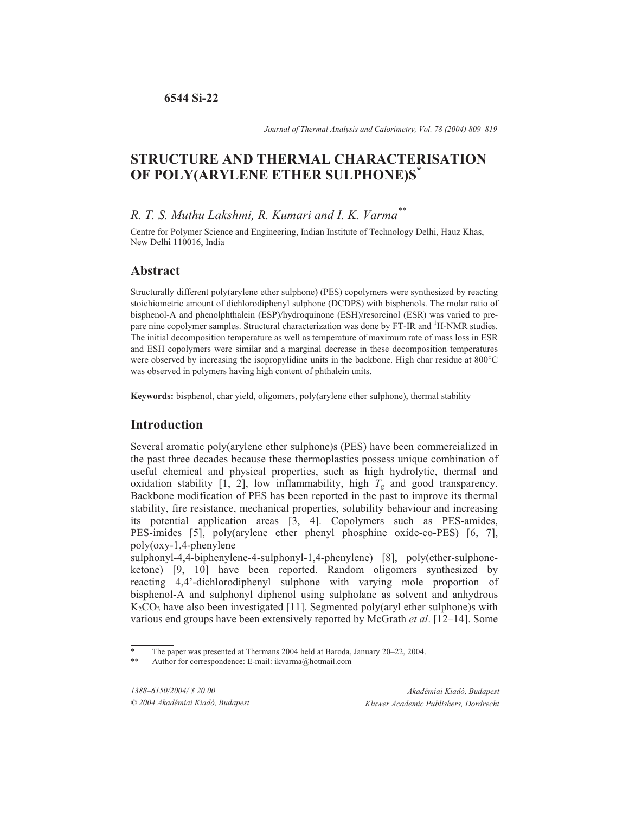*Journal of Thermal Analysis and Calorimetry, Vol. 78 (2004) 809–819*

# **STRUCTURE AND THERMAL CHARACTERISATION OF POLY(ARYLENE ETHER SULPHONE)S\***

# *R. T. S. Muthu Lakshmi, R. Kumari and I. K. Varma\*\**

Centre for Polymer Science and Engineering, Indian Institute of Technology Delhi, Hauz Khas, New Delhi 110016, India

# **Abstract**

Structurally different poly(arylene ether sulphone) (PES) copolymers were synthesized by reacting stoichiometric amount of dichlorodiphenyl sulphone (DCDPS) with bisphenols. The molar ratio of bisphenol-A and phenolphthalein (ESP)/hydroquinone (ESH)/resorcinol (ESR) was varied to prepare nine copolymer samples. Structural characterization was done by FT-IR and <sup>1</sup>H-NMR studies. The initial decomposition temperature as well as temperature of maximum rate of mass loss in ESR and ESH copolymers were similar and a marginal decrease in these decomposition temperatures were observed by increasing the isopropylidine units in the backbone. High char residue at 800°C was observed in polymers having high content of phthalein units.

**Keywords:** bisphenol, char yield, oligomers, poly(arylene ether sulphone), thermal stability

# **Introduction**

Several aromatic poly(arylene ether sulphone)s (PES) have been commercialized in the past three decades because these thermoplastics possess unique combination of useful chemical and physical properties, such as high hydrolytic, thermal and oxidation stability [1, 2], low inflammability, high  $T_g$  and good transparency. Backbone modification of PES has been reported in the past to improve its thermal stability, fire resistance, mechanical properties, solubility behaviour and increasing its potential application areas [3, 4]. Copolymers such as PES-amides, PES-imides [5], poly(arylene ether phenyl phosphine oxide-co-PES) [6, 7], poly(oxy-1,4-phenylene

sulphonyl-4,4-biphenylene-4-sulphonyl-1,4-phenylene) [8], poly(ether-sulphoneketone) [9, 10] have been reported. Random oligomers synthesized by reacting 4,4'-dichlorodiphenyl sulphone with varying mole proportion of bisphenol-A and sulphonyl diphenol using sulpholane as solvent and anhydrous  $K_2CO_3$  have also been investigated [11]. Segmented poly(aryl ether sulphone)s with various end groups have been extensively reported by McGrath *et al*. [12–14]. Some

The paper was presented at Thermans 2004 held at Baroda, January 20–22, 2004.

Author for correspondence: E-mail: ikvarma@hotmail.com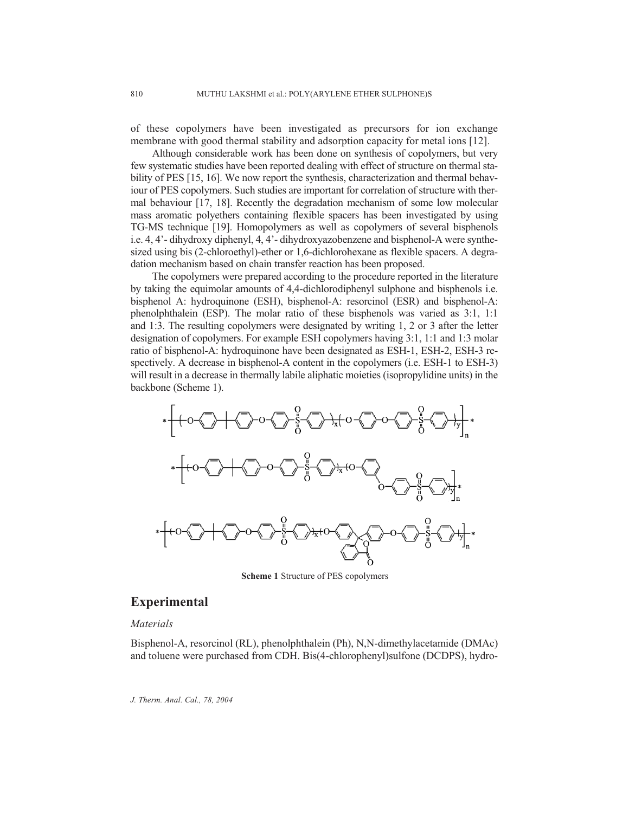of these copolymers have been investigated as precursors for ion exchange membrane with good thermal stability and adsorption capacity for metal ions [12].

Although considerable work has been done on synthesis of copolymers, but very few systematic studies have been reported dealing with effect of structure on thermal stability of PES [15, 16]. We now report the synthesis, characterization and thermal behaviour of PES copolymers. Such studies are important for correlation of structure with thermal behaviour [17, 18]. Recently the degradation mechanism of some low molecular mass aromatic polyethers containing flexible spacers has been investigated by using TG-MS technique [19]. Homopolymers as well as copolymers of several bisphenols i.e. 4, 4'- dihydroxy diphenyl, 4, 4'- dihydroxyazobenzene and bisphenol-A were synthesized using bis (2-chloroethyl)-ether or 1,6-dichlorohexane as flexible spacers. A degradation mechanism based on chain transfer reaction has been proposed.

The copolymers were prepared according to the procedure reported in the literature by taking the equimolar amounts of 4,4-dichlorodiphenyl sulphone and bisphenols i.e. bisphenol A: hydroquinone (ESH), bisphenol-A: resorcinol (ESR) and bisphenol-A: phenolphthalein (ESP). The molar ratio of these bisphenols was varied as 3:1, 1:1 and 1:3. The resulting copolymers were designated by writing 1, 2 or 3 after the letter designation of copolymers. For example ESH copolymers having 3:1, 1:1 and 1:3 molar ratio of bisphenol-A: hydroquinone have been designated as ESH-1, ESH-2, ESH-3 respectively. A decrease in bisphenol-A content in the copolymers (i.e. ESH-1 to ESH-3) will result in a decrease in thermally labile aliphatic moieties (isopropylidine units) in the backbone (Scheme 1).



**Scheme 1** Structure of PES copolymers

### **Experimental**

### *Materials*

Bisphenol-A, resorcinol (RL), phenolphthalein (Ph), N,N-dimethylacetamide (DMAc) and toluene were purchased from CDH. Bis(4-chlorophenyl)sulfone (DCDPS), hydro-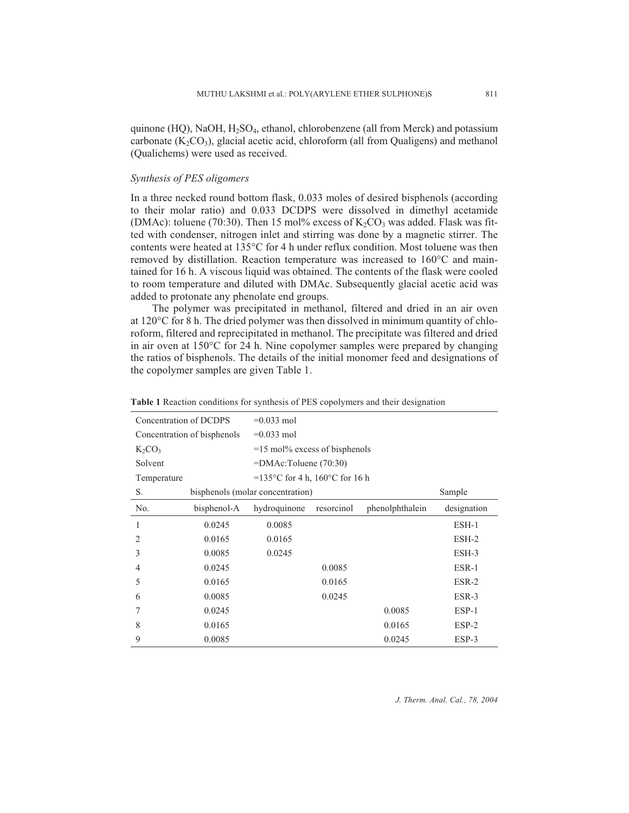quinone (HQ), NaOH, H<sub>2</sub>SO<sub>4</sub>, ethanol, chlorobenzene (all from Merck) and potassium carbonate  $(K_2CO_3)$ , glacial acetic acid, chloroform (all from Qualigens) and methanol (Qualichems) were used as received.

#### *Synthesis of PES oligomers*

In a three necked round bottom flask, 0.033 moles of desired bisphenols (according to their molar ratio) and 0.033 DCDPS were dissolved in dimethyl acetamide (DMAc): toluene (70:30). Then 15 mol% excess of  $K_2CO_3$  was added. Flask was fitted with condenser, nitrogen inlet and stirring was done by a magnetic stirrer. The contents were heated at 135°C for 4 h under reflux condition. Most toluene was then removed by distillation. Reaction temperature was increased to 160°C and maintained for 16 h. A viscous liquid was obtained. The contents of the flask were cooled to room temperature and diluted with DMAc. Subsequently glacial acetic acid was added to protonate any phenolate end groups.

The polymer was precipitated in methanol, filtered and dried in an air oven at 120°C for 8 h. The dried polymer was then dissolved in minimum quantity of chloroform, filtered and reprecipitated in methanol. The precipitate was filtered and dried in air oven at 150°C for 24 h. Nine copolymer samples were prepared by changing the ratios of bisphenols. The details of the initial monomer feed and designations of the copolymer samples are given Table 1.

| Concentration of DCDPS      |             | $=0.033$ mol                       |            |                 |             |  |  |
|-----------------------------|-------------|------------------------------------|------------|-----------------|-------------|--|--|
| Concentration of bisphenols |             | $=0.033$ mol                       |            |                 |             |  |  |
| $K_2CO_3$                   |             | $=15$ mol% excess of bisphenols    |            |                 |             |  |  |
| Solvent                     |             | =DMAc:Toluene (70:30)              |            |                 |             |  |  |
| Temperature                 |             | =135 °C for 4 h, $160$ °C for 16 h |            |                 |             |  |  |
| S.                          | Sample      |                                    |            |                 |             |  |  |
| No.                         | bisphenol-A | hydroquinone                       | resorcinol | phenolphthalein | designation |  |  |
| 1                           | 0.0245      | 0.0085                             |            |                 | $ESH-1$     |  |  |
| 2                           | 0.0165      | 0.0165                             |            |                 | $ESH-2$     |  |  |
| 3                           | 0.0085      | 0.0245                             |            |                 | $ESH-3$     |  |  |
| 4                           | 0.0245      |                                    | 0.0085     |                 | ESR-1       |  |  |
| 5                           | 0.0165      |                                    | 0.0165     |                 | ESR-2       |  |  |
| 6                           | 0.0085      |                                    | 0.0245     |                 | $ESR-3$     |  |  |
|                             | 0.0245      |                                    |            | 0.0085          | $ESP-1$     |  |  |
| 8                           | 0.0165      |                                    |            | 0.0165          | $ESP-2$     |  |  |
| 9                           | 0.0085      |                                    |            | 0.0245          | ESP-3       |  |  |

#### **Table 1** Reaction conditions for synthesis of PES copolymers and their designation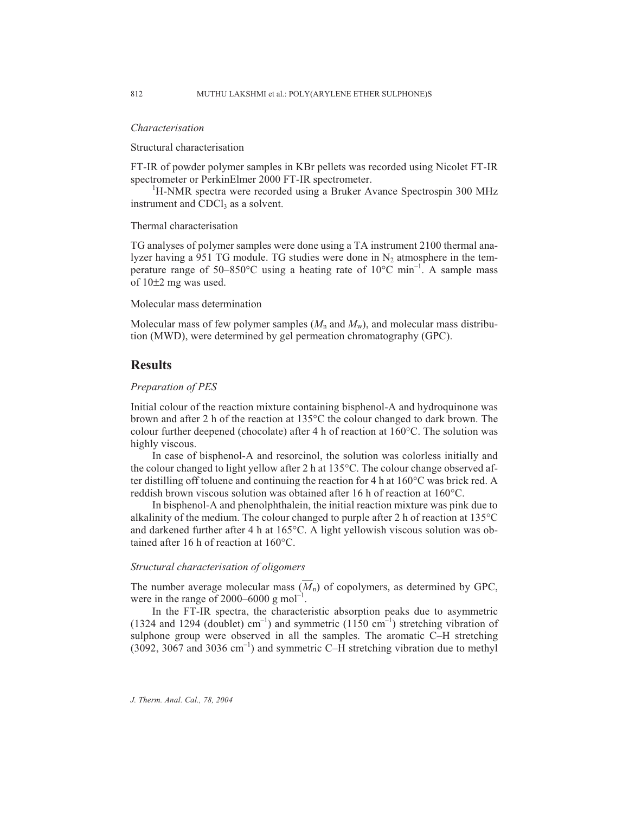#### *Characterisation*

Structural characterisation

FT-IR of powder polymer samples in KBr pellets was recorded using Nicolet FT-IR spectrometer or PerkinElmer 2000 FT-IR spectrometer.

<sup>1</sup>H-NMR spectra were recorded using a Bruker Avance Spectrospin 300 MHz instrument and CDCl<sub>3</sub> as a solvent.

#### Thermal characterisation

TG analyses of polymer samples were done using a TA instrument 2100 thermal analyzer having a 951 TG module. TG studies were done in  $N<sub>2</sub>$  atmosphere in the temperature range of 50–850°C using a heating rate of 10°C min<sup>-1</sup>. A sample mass of  $10\pm 2$  mg was used.

#### Molecular mass determination

Molecular mass of few polymer samples  $(M_n$  and  $M_w$ ), and molecular mass distribution (MWD), were determined by gel permeation chromatography (GPC).

#### **Results**

#### *Preparation of PES*

Initial colour of the reaction mixture containing bisphenol-A and hydroquinone was brown and after 2 h of the reaction at 135°C the colour changed to dark brown. The colour further deepened (chocolate) after 4 h of reaction at 160°C. The solution was highly viscous.

In case of bisphenol-A and resorcinol, the solution was colorless initially and the colour changed to light yellow after 2 h at 135°C. The colour change observed after distilling off toluene and continuing the reaction for 4 h at 160°C was brick red. A reddish brown viscous solution was obtained after 16 h of reaction at 160°C.

In bisphenol-A and phenolphthalein, the initial reaction mixture was pink due to alkalinity of the medium. The colour changed to purple after 2 h of reaction at 135°C and darkened further after 4 h at 165°C. A light yellowish viscous solution was obtained after 16 h of reaction at 160°C.

#### *Structural characterisation of oligomers*

The number average molecular mass  $(M_n)$  of copolymers, as determined by GPC, were in the range of 2000–6000 g mol<sup>-1</sup>.

In the FT-IR spectra, the characteristic absorption peaks due to asymmetric (1324 and 1294 (doublet)  $cm^{-1}$ ) and symmetric (1150  $cm^{-1}$ ) stretching vibration of sulphone group were observed in all the samples. The aromatic C–H stretching  $(3092, 3067 \text{ and } 3036 \text{ cm}^{-1})$  and symmetric C–H stretching vibration due to methyl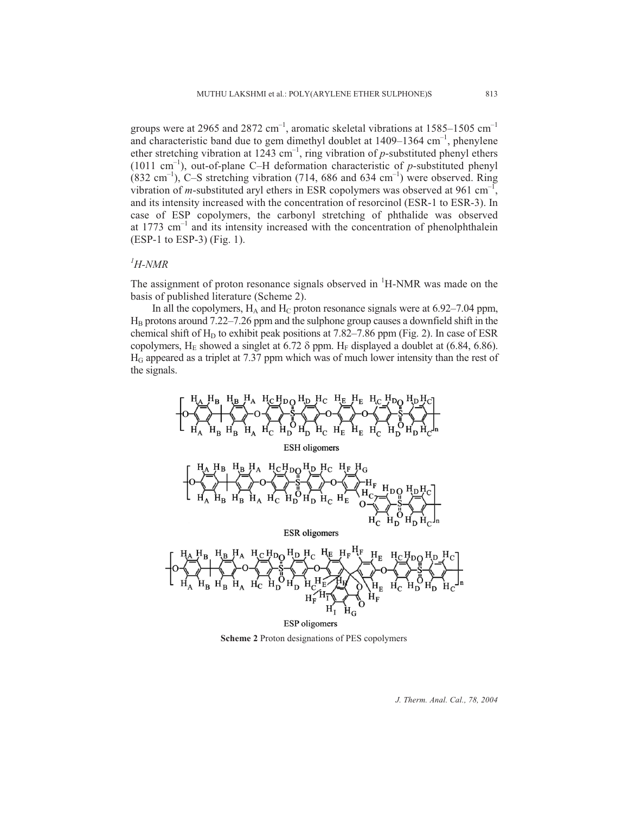groups were at 2965 and 2872  $cm^{-1}$ , aromatic skeletal vibrations at 1585–1505  $cm^{-1}$ and characteristic band due to gem dimethyl doublet at  $1409-1364$  cm<sup>-1</sup>, phenylene ether stretching vibration at  $1243 \text{ cm}^{-1}$ , ring vibration of *p*-substituted phenyl ethers (1011 cm–1), out-of-plane C–H deformation characteristic of *p*-substituted phenyl (832 cm<sup>-1</sup>), C–S stretching vibration (714, 686 and 634 cm<sup>-1</sup>) were observed. Ring vibration of  $m$ -substituted aryl ethers in ESR copolymers was observed at 961 cm<sup>-1</sup>, and its intensity increased with the concentration of resorcinol (ESR-1 to ESR-3). In case of ESP copolymers, the carbonyl stretching of phthalide was observed at  $1773 \text{ cm}^{-1}$  and its intensity increased with the concentration of phenolphthalein (ESP-1 to ESP-3) (Fig. 1).

# *1 H-NMR*

The assignment of proton resonance signals observed in <sup>1</sup>H-NMR was made on the basis of published literature (Scheme 2).

In all the copolymers,  $H_A$  and  $H_C$  proton resonance signals were at 6.92–7.04 ppm,  $H_B$  protons around 7.22–7.26 ppm and the sulphone group causes a downfield shift in the chemical shift of  $H_D$  to exhibit peak positions at 7.82–7.86 ppm (Fig. 2). In case of ESR copolymers, H<sub>E</sub> showed a singlet at 6.72  $\delta$  ppm. H<sub>F</sub> displayed a doublet at (6.84, 6.86). HG appeared as a triplet at 7.37 ppm which was of much lower intensity than the rest of the signals.

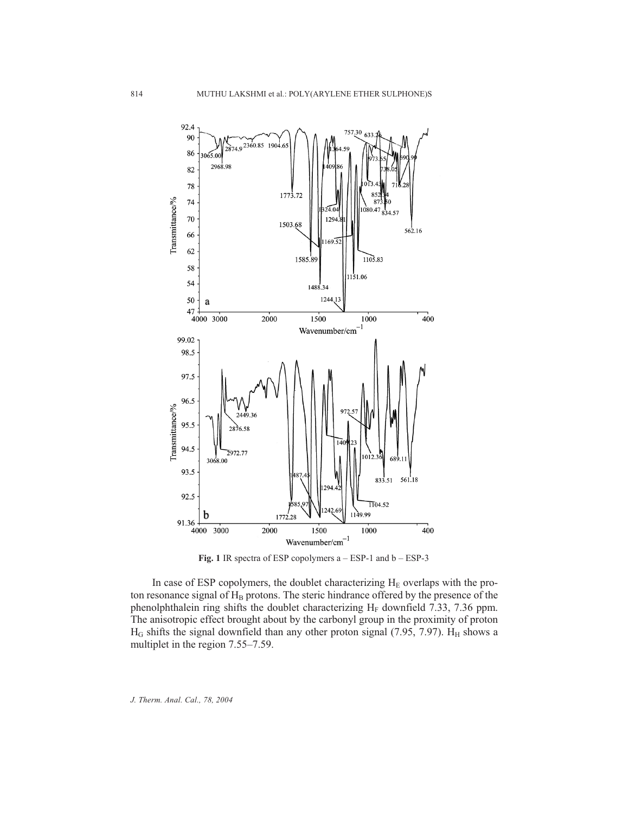

**Fig. 1** IR spectra of ESP copolymers a – ESP-1 and b – ESP-3

In case of ESP copolymers, the doublet characterizing  $H<sub>E</sub>$  overlaps with the proton resonance signal of  $H_B$  protons. The steric hindrance offered by the presence of the phenolphthalein ring shifts the doublet characterizing  $H_F$  downfield 7.33, 7.36 ppm. The anisotropic effect brought about by the carbonyl group in the proximity of proton  $H_G$  shifts the signal downfield than any other proton signal (7.95, 7.97).  $H_H$  shows a multiplet in the region 7.55–7.59.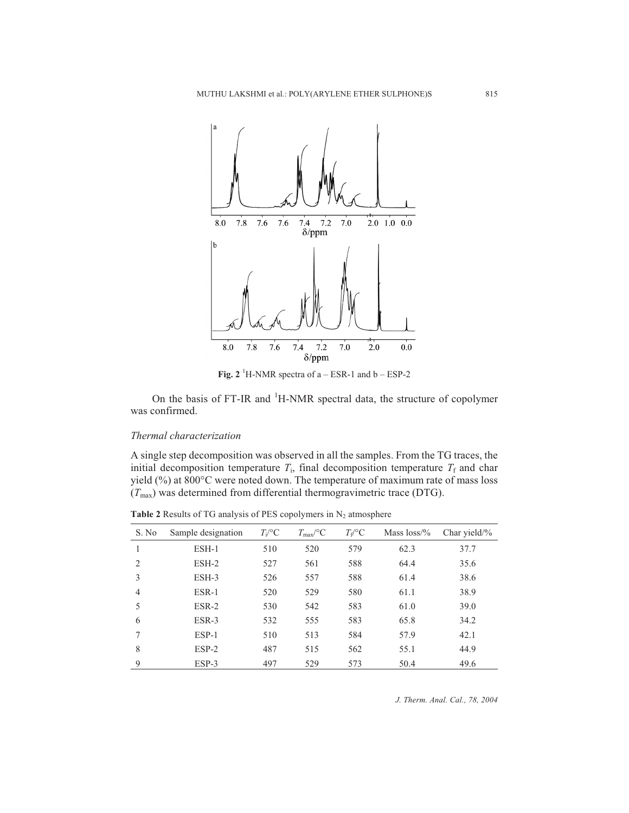

**Fig. 2** <sup>1</sup>H-NMR spectra of  $a - ESR-1$  and  $b - ESP-2$ 

On the basis of FT-IR and <sup>1</sup>H-NMR spectral data, the structure of copolymer was confirmed.

#### *Thermal characterization*

A single step decomposition was observed in all the samples. From the TG traces, the initial decomposition temperature  $T_i$ , final decomposition temperature  $T_f$  and char yield (%) at 800°C were noted down. The temperature of maximum rate of mass loss  $(T_{\text{max}})$  was determined from differential thermogravimetric trace (DTG).

**Table 2** Results of TG analysis of PES copolymers in  $N_2$  atmosphere

| S. No          | Sample designation | $T_i$ <sup>o</sup> C | $T_{\rm max}$ /°C | $T_f{}^{\circ}C$ | Mass $loss\%$ | Char yield/ $\%$ |
|----------------|--------------------|----------------------|-------------------|------------------|---------------|------------------|
| 1              | $ESH-1$            | 510                  | 520               | 579              | 62.3          | 37.7             |
| $\mathcal{L}$  | $ESH-2$            | 527                  | 561               | 588              | 64.4          | 35.6             |
| 3              | $ESH-3$            | 526                  | 557               | 588              | 61.4          | 38.6             |
| $\overline{4}$ | ESR-1              | 520                  | 529               | 580              | 61.1          | 38.9             |
| 5              | $ESR-2$            | 530                  | 542               | 583              | 61.0          | 39.0             |
| 6              | $ESR-3$            | 532                  | 555               | 583              | 65.8          | 34.2             |
| 7              | ESP-1              | 510                  | 513               | 584              | 57.9          | 42.1             |
| 8              | $ESP-2$            | 487                  | 515               | 562              | 55.1          | 44.9             |
| $\mathbf Q$    | $ESP-3$            | 497                  | 529               | 573              | 50.4          | 49.6             |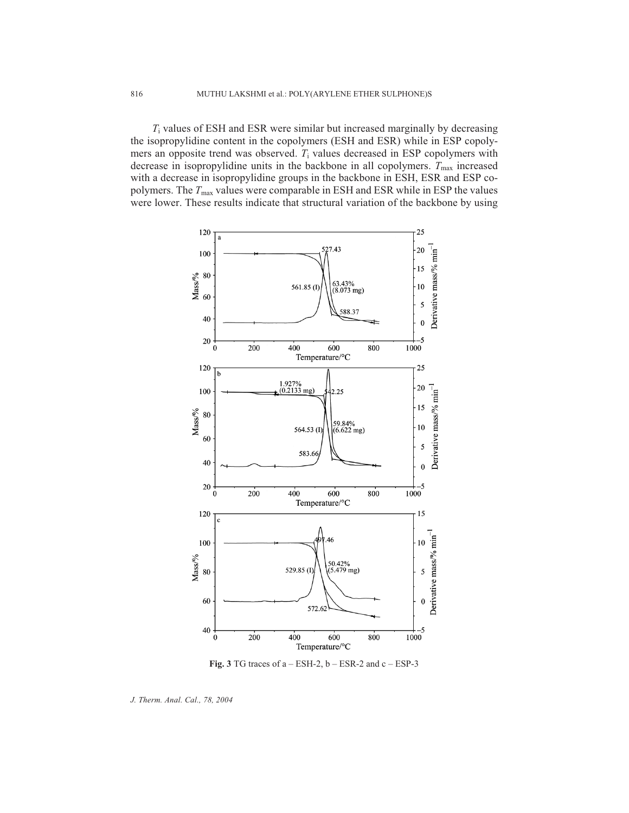*T*<sup>i</sup> values of ESH and ESR were similar but increased marginally by decreasing the isopropylidine content in the copolymers (ESH and ESR) while in ESP copolymers an opposite trend was observed. *T*<sup>i</sup> values decreased in ESP copolymers with decrease in isopropylidine units in the backbone in all copolymers.  $T_{\text{max}}$  increased with a decrease in isopropylidine groups in the backbone in ESH, ESR and ESP copolymers. The *T*max values were comparable in ESH and ESR while in ESP the values were lower. These results indicate that structural variation of the backbone by using



**Fig. 3** TG traces of  $a - ESH-2$ ,  $b - ESR-2$  and  $c - ESP-3$ 

*J. Therm. Anal. Cal., 78, 2004*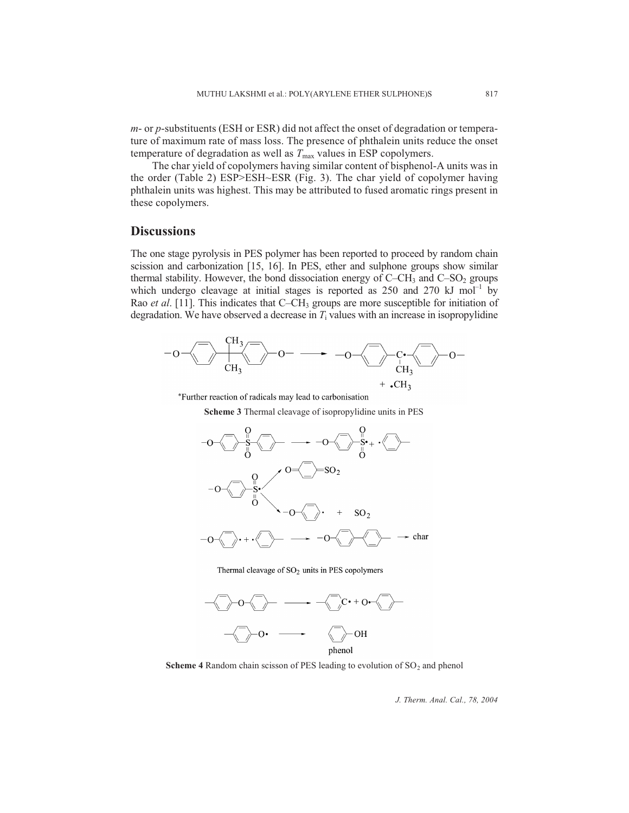*m*- or *p*-substituents (ESH or ESR) did not affect the onset of degradation or temperature of maximum rate of mass loss. The presence of phthalein units reduce the onset temperature of degradation as well as  $T_{\text{max}}$  values in ESP copolymers.

The char yield of copolymers having similar content of bisphenol-A units was in the order (Table 2) ESP>ESH~ESR (Fig. 3). The char yield of copolymer having phthalein units was highest. This may be attributed to fused aromatic rings present in these copolymers.

# **Discussions**

The one stage pyrolysis in PES polymer has been reported to proceed by random chain scission and carbonization [15, 16]. In PES, ether and sulphone groups show similar thermal stability. However, the bond dissociation energy of  $C-CH_3$  and  $C-SO_2$  groups which undergo cleavage at initial stages is reported as  $250$  and  $270$  kJ mol<sup>-1</sup> by Rao *et al.* [11]. This indicates that C–CH<sub>3</sub> groups are more susceptible for initiation of degradation. We have observed a decrease in  $T_i$  values with an increase in isopropylidine



\*Further reaction of radicals may lead to carbonisation

**Scheme 3** Thermal cleavage of isopropylidine units in PES



Thermal cleavage of SO<sub>2</sub> units in PES copolymers



**Scheme 4** Random chain scisson of PES leading to evolution of  $SO<sub>2</sub>$  and phenol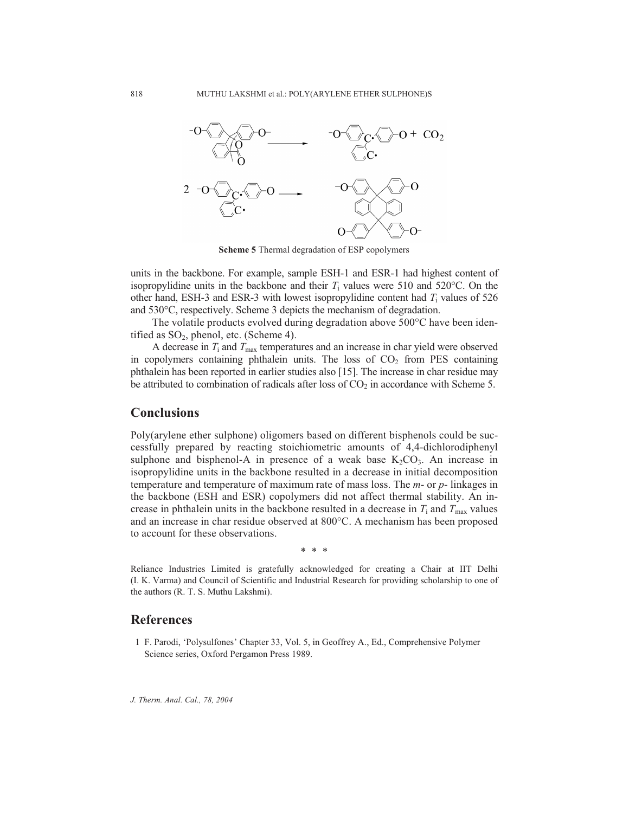

**Scheme 5** Thermal degradation of ESP copolymers

units in the backbone. For example, sample ESH-1 and ESR-1 had highest content of isopropylidine units in the backbone and their  $T_i$  values were 510 and 520 $\degree$ C. On the other hand, ESH-3 and ESR-3 with lowest isopropylidine content had *T*<sup>i</sup> values of 526 and 530°C, respectively. Scheme 3 depicts the mechanism of degradation.

The volatile products evolved during degradation above 500°C have been identified as  $SO_2$ , phenol, etc. (Scheme 4).

A decrease in  $T_i$  and  $T_{\text{max}}$  temperatures and an increase in char yield were observed in copolymers containing phthalein units. The loss of  $CO<sub>2</sub>$  from PES containing phthalein has been reported in earlier studies also [15]. The increase in char residue may be attributed to combination of radicals after loss of  $CO<sub>2</sub>$  in accordance with Scheme 5.

# **Conclusions**

Poly(arylene ether sulphone) oligomers based on different bisphenols could be successfully prepared by reacting stoichiometric amounts of 4,4-dichlorodiphenyl sulphone and bisphenol-A in presence of a weak base  $K_2CO_3$ . An increase in isopropylidine units in the backbone resulted in a decrease in initial decomposition temperature and temperature of maximum rate of mass loss. The *m*- or *p*- linkages in the backbone (ESH and ESR) copolymers did not affect thermal stability. An increase in phthalein units in the backbone resulted in a decrease in  $T_i$  and  $T_{\text{max}}$  values and an increase in char residue observed at 800°C. A mechanism has been proposed to account for these observations.

\*\*\*

Reliance Industries Limited is gratefully acknowledged for creating a Chair at IIT Delhi (I. K. Varma) and Council of Scientific and Industrial Research for providing scholarship to one of the authors (R. T. S. Muthu Lakshmi).

# **References**

1 F. Parodi, 'Polysulfones' Chapter 33, Vol. 5, in Geoffrey A., Ed., Comprehensive Polymer Science series, Oxford Pergamon Press 1989.